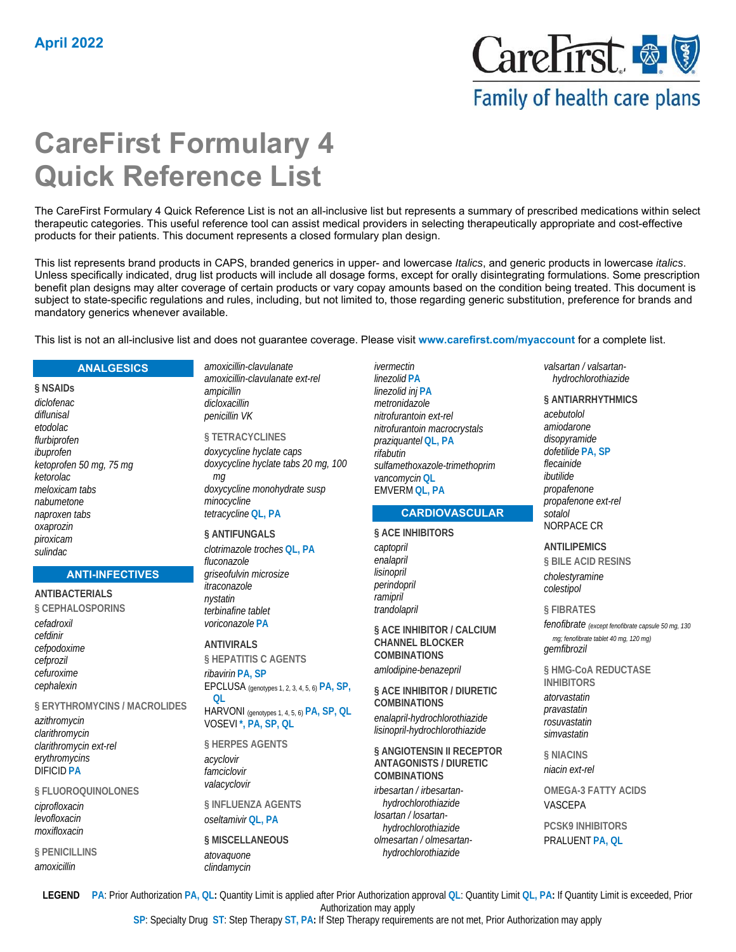

## Family of health care plans

# **CareFirst Formulary 4 Quick Reference List**

The CareFirst Formulary 4 Quick Reference List is not an all-inclusive list but represents a summary of prescribed medications within select therapeutic categories. This useful reference tool can assist medical providers in selecting therapeutically appropriate and cost-effective products for their patients. This document represents a closed formulary plan design.

This list represents brand products in CAPS, branded generics in upper- and lowercase *Italics*, and generic products in lowercase *italics*. Unless specifically indicated, drug list products will include all dosage forms, except for orally disintegrating formulations. Some prescription benefit plan designs may alter coverage of certain products or vary copay amounts based on the condition being treated. This document is subject to state-specific regulations and rules, including, but not limited to, those regarding generic substitution, preference for brands and mandatory generics whenever available.

*ivermectin*

This list is not an all-inclusive list and does not guarantee coverage. Please visit **www.carefirst.com/myaccount** for a complete list.

#### **ANALGESICS**

**§ NSAIDs**  *diclofenac diflunisal etodolac flurbiprofen ibuprofen ketoprofen 50 mg, 75 mg ketorolac meloxicam tabs nabumetone naproxen tabs oxaprozin piroxicam sulindac*

#### **ANTI-INFECTIVES**

**ANTIBACTERIALS § CEPHALOSPORINS**  *cefadroxil cefdinir cefpodoxime cefprozil cefuroxime cephalexin* **§ ERYTHROMYCINS / MACROLIDES** 

*azithromycin clarithromycin clarithromycin ext-rel erythromycins* DIFICID **PA**

**§ FLUOROQUINOLONES**  *ciprofloxacin levofloxacin moxifloxacin*

**§ PENICILLINS**  *amoxicillin*

*amoxicillin-clavulanate amoxicillin-clavulanate ext-rel ampicillin dicloxacillin penicillin VK*

**§ TETRACYCLINES**  *doxycycline hyclate caps doxycycline hyclate tabs 20 mg, 100 mg doxycycline monohydrate susp minocycline tetracycline* **QL, PA**

#### **§ ANTIFUNGALS**

*clotrimazole troches* **QL, PA** *fluconazole griseofulvin microsize itraconazole nystatin terbinafine tablet voriconazole* **PA**

**ANTIVIRALS** 

**§ HEPATITIS C AGENTS**  *ribavirin* **PA, SP**

EPCLUSA (genotypes 1, 2, 3, 4, 5, 6) **PA, SP, QL**

HARVONI (genotypes 1, 4, 5, 6) **PA, SP, QL** VOSEVI **\*, PA, SP, QL**

**§ HERPES AGENTS**  *acyclovir famciclovir valacyclovir*

**§ INFLUENZA AGENTS**  *oseltamivir* **QL, PA**

**§ MISCELLANEOUS**  *atovaquone clindamycin*

*linezolid* **PA** *linezolid inj* **PA** *metronidazole nitrofurantoin ext-rel nitrofurantoin macrocrystals praziquantel* **QL, PA** *rifabutin sulfamethoxazole-trimethoprim vancomycin* **QL** EMVERM **QL, PA**

## **CARDIOVASCULAR**

#### **§ ACE INHIBITORS**

*captopril enalapril lisinopril perindopril ramipril trandolapril*

**§ ACE INHIBITOR / CALCIUM CHANNEL BLOCKER COMBINATIONS**  *amlodipine-benazepril*

**§ ACE INHIBITOR / DIURETIC COMBINATIONS**  *enalapril-hydrochlorothiazide lisinopril-hydrochlorothiazide*

**§ ANGIOTENSIN II RECEPTOR ANTAGONISTS / DIURETIC COMBINATIONS** 

*irbesartan / irbesartanhydrochlorothiazide losartan / losartanhydrochlorothiazide olmesartan / olmesartanhydrochlorothiazide*

*valsartan / valsartanhydrochlorothiazide*

#### **§ ANTIARRHYTHMICS**

*acebutolol amiodarone disopyramide dofetilide* **PA, SP** *flecainide ibutilide propafenone propafenone ext-rel sotalol* NORPACE CR

#### **ANTILIPEMICS**

**§ BILE ACID RESINS**  *cholestyramine colestipol*

#### **§ FIBRATES**

*fenofibrate (except fenofibrate capsule 50 mg, 130 mg; fenofibrate tablet 40 mg, 120 mg) gemfibrozil*

**§ HMG-CoA REDUCTASE INHIBITORS**  *atorvastatin pravastatin rosuvastatin simvastatin*

**§ NIACINS**  *niacin ext-rel*

**OMEGA-3 FATTY ACIDS**  VASCEPA

**PCSK9 INHIBITORS**  PRALUENT **PA, QL**

**LEGEND PA**: Prior Authorization **PA, QL:** Quantity Limit is applied after Prior Authorization approval **QL**: Quantity Limit **QL, PA:** If Quantity Limit is exceeded, Prior Authorization may apply

**SP**: Specialty Drug **ST**: Step Therapy **ST, PA:** If Step Therapy requirements are not met, Prior Authorization may apply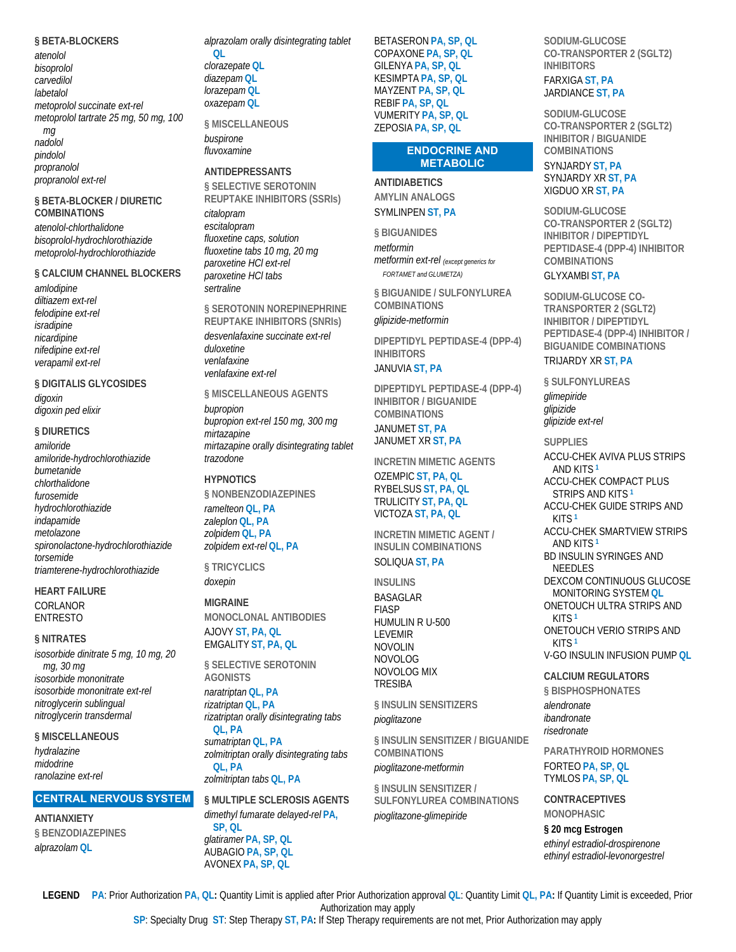#### **§ BETA-BLOCKERS**

*atenolol bisoprolol carvedilol labetalol metoprolol succinate ext-rel metoprolol tartrate 25 mg, 50 mg, 100 mg nadolol pindolol propranolol propranolol ext-rel*

#### **§ BETA-BLOCKER / DIURETIC COMBINATIONS**

*atenolol-chlorthalidone bisoprolol-hydrochlorothiazide metoprolol-hydrochlorothiazide*

#### **§ CALCIUM CHANNEL BLOCKERS**

*amlodipine diltiazem ext-rel felodipine ext-rel isradipine nicardipine nifedipine ext-rel verapamil ext-rel*

## **§ DIGITALIS GLYCOSIDES**

*digoxin digoxin ped elixir*

#### **§ DIURETICS**

*amiloride amiloride-hydrochlorothiazide bumetanide chlorthalidone furosemide hydrochlorothiazide indapamide metolazone spironolactone-hydrochlorothiazide torsemide triamterene-hydrochlorothiazide*

## **HEART FAILURE**

CORLANOR ENTRESTO

#### **§ NITRATES**

*isosorbide dinitrate 5 mg, 10 mg, 20 mg, 30 mg isosorbide mononitrate isosorbide mononitrate ext-rel nitroglycerin sublingual nitroglycerin transdermal*

## **§ MISCELLANEOUS**

*hydralazine midodrine ranolazine ext-rel*

## **CENTRAL NERVOUS SYSTEM**

**ANTIANXIETY § BENZODIAZEPINES**  *alprazolam* **QL**

*alprazolam orally disintegrating tablet* **QL** *clorazepate* **QL** *diazepam* **QL** *lorazepam* **QL**

## **§ MISCELLANEOUS**

*buspirone fluvoxamine*

*oxazepam* **QL**

### **ANTIDEPRESSANTS**

**§ SELECTIVE SEROTONIN REUPTAKE INHIBITORS (SSRIs)**  *citalopram escitalopram fluoxetine caps, solution fluoxetine tabs 10 mg, 20 mg paroxetine HCl ext-rel paroxetine HCl tabs sertraline*

**§ SEROTONIN NOREPINEPHRINE REUPTAKE INHIBITORS (SNRIs)**  *desvenlafaxine succinate ext-rel duloxetine venlafaxine venlafaxine ext-rel*

**§ MISCELLANEOUS AGENTS** 

*bupropion bupropion ext-rel 150 mg, 300 mg mirtazapine mirtazapine orally disintegrating tablet trazodone*

## **HYPNOTICS**

**§ NONBENZODIAZEPINES**  *ramelteon* **QL, PA**

*zaleplon* **QL, PA** *zolpidem* **QL, PA** *zolpidem ext-rel* **QL, PA**

**§ TRICYCLICS**  *doxepin*

## **MIGRAINE**

**MONOCLONAL ANTIBODIES**  AJOVY **ST, PA, QL** EMGALITY **ST, PA, QL**

**§ SELECTIVE SEROTONIN AGONISTS**  *naratriptan* **QL, PA** *rizatriptan* **QL, PA** *rizatriptan orally disintegrating tabs* **QL, PA** *sumatriptan* **QL, PA** *zolmitriptan orally disintegrating tabs* **QL, PA**

*zolmitriptan tabs* **QL, PA**

**§ MULTIPLE SCLEROSIS AGENTS**  *dimethyl fumarate delayed-rel* **PA, SP, QL** *glatiramer* **PA, SP, QL** AUBAGIO **PA, SP, QL** AVONEX **PA, SP, QL**

BETASERON **PA, SP, QL** COPAXONE **PA, SP, QL** GILENYA **PA, SP, QL** KESIMPTA **PA, SP, QL** MAYZENT **PA, SP, QL** REBIF **PA, SP, QL** VUMERITY **PA, SP, QL** ZEPOSIA **PA, SP, QL**

#### **ENDOCRINE AND METABOLIC**

**ANTIDIABETICS AMYLIN ANALOGS**  SYMLINPEN **ST, PA**

**§ BIGUANIDES** 

*metformin metformin ext-rel (except generics for FORTAMET and GLUMETZA)*

**§ BIGUANIDE / SULFONYLUREA COMBINATIONS**  *glipizide-metformin*

**DIPEPTIDYL PEPTIDASE-4 (DPP-4) INHIBITORS** 

JANUVIA **ST, PA**

**DIPEPTIDYL PEPTIDASE-4 (DPP-4) INHIBITOR / BIGUANIDE COMBINATIONS**  JANUMET **ST, PA**

JANUMET XR **ST, PA**

**INCRETIN MIMETIC AGENTS** 

#### OZEMPIC **ST, PA, QL** RYBELSUS **ST, PA, QL** TRULICITY **ST, PA, QL** VICTOZA **ST, PA, QL**

**INCRETIN MIMETIC AGENT / INSULIN COMBINATIONS**  SOLIQUA **ST, PA**

**INSULINS**  BASAGLAR FIASP HUMULIN R U-500 LEVEMIR NOVOLIN NOVOLOG NOVOLOG MIX TRESIBA

**§ INSULIN SENSITIZERS**  *pioglitazone*

**§ INSULIN SENSITIZER / BIGUANIDE COMBINATIONS**  *pioglitazone-metformin*

**§ INSULIN SENSITIZER / SULFONYLUREA COMBINATIONS**  *pioglitazone-glimepiride*

**SODIUM-GLUCOSE CO-TRANSPORTER 2 (SGLT2) INHIBITORS**  FARXIGA **ST, PA** JARDIANCE **ST, PA**

**SODIUM-GLUCOSE CO-TRANSPORTER 2 (SGLT2) INHIBITOR / BIGUANIDE COMBINATIONS**  SYNJARDY **ST, PA** SYNJARDY XR **ST, PA**

XIGDUO XR **ST, PA**

**SODIUM-GLUCOSE CO-TRANSPORTER 2 (SGLT2) INHIBITOR / DIPEPTIDYL PEPTIDASE-4 (DPP-4) INHIBITOR COMBINATIONS** 

#### GLYXAMBI **ST, PA**

**SODIUM-GLUCOSE CO-TRANSPORTER 2 (SGLT2) INHIBITOR / DIPEPTIDYL PEPTIDASE-4 (DPP-4) INHIBITOR / BIGUANIDE COMBINATIONS** 

TRIJARDY XR **ST, PA**

**§ SULFONYLUREAS**  *glimepiride glipizide glipizide ext-rel*

**SUPPLIES** 

ACCU-CHEK AVIVA PLUS STRIPS AND KITS **<sup>1</sup>** ACCU-CHEK COMPACT PLUS STRIPS AND KITS **<sup>1</sup>** ACCU-CHEK GUIDE STRIPS AND KITS **<sup>1</sup>** ACCU-CHEK SMARTVIEW STRIPS AND KITS **<sup>1</sup>** BD INSULIN SYRINGES AND NEEDLES DEXCOM CONTINUOUS GLUCOSE MONITORING SYSTEM **QL** ONETOUCH ULTRA STRIPS AND KITS **<sup>1</sup>** ONETOUCH VERIO STRIPS AND KITS **<sup>1</sup>** V-GO INSULIN INFUSION PUMP **QL**

**CALCIUM REGULATORS** 

**§ BISPHOSPHONATES**  *alendronate ibandronate risedronate*

**PARATHYROID HORMONES**  FORTEO **PA, SP, QL** TYMLOS **PA, SP, QL**

**CONTRACEPTIVES MONOPHASIC** 

**§ 20 mcg Estrogen**  *ethinyl estradiol-drospirenone ethinyl estradiol-levonorgestrel*

**LEGEND PA**: Prior Authorization **PA, QL:** Quantity Limit is applied after Prior Authorization approval **QL**: Quantity Limit **QL, PA:** If Quantity Limit is exceeded, Prior Authorization may apply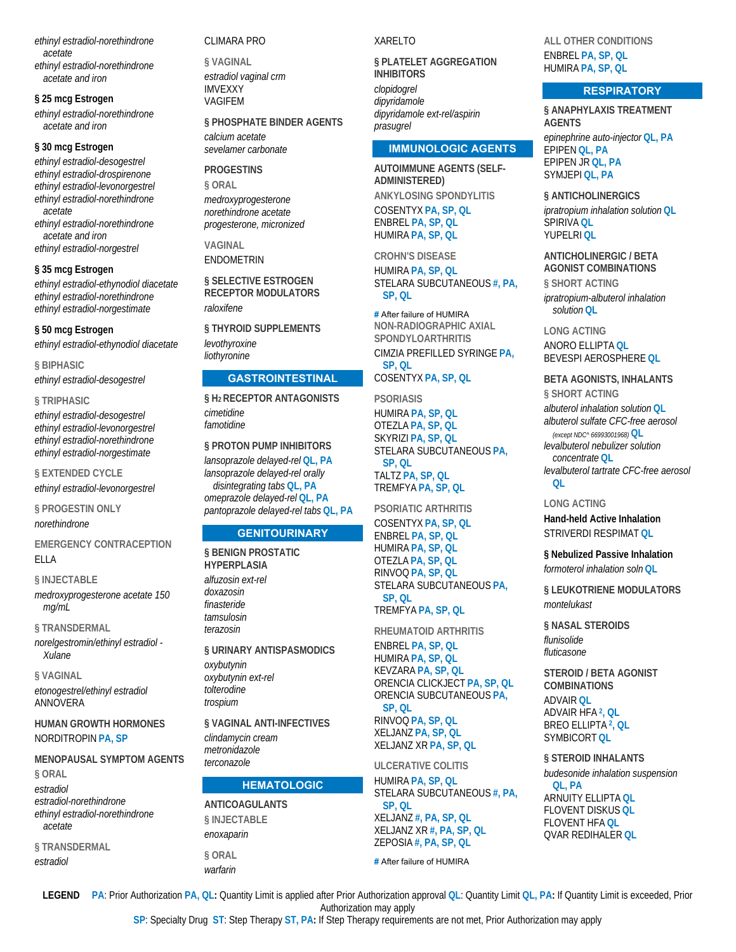*ethinyl estradiol-norethindrone acetate ethinyl estradiol-norethindrone acetate and iron*

**§ 25 mcg Estrogen** 

*ethinyl estradiol-norethindrone acetate and iron*

#### **§ 30 mcg Estrogen**

*ethinyl estradiol-desogestrel ethinyl estradiol-drospirenone ethinyl estradiol-levonorgestrel ethinyl estradiol-norethindrone acetate ethinyl estradiol-norethindrone* 

*acetate and iron ethinyl estradiol-norgestrel*

#### **§ 35 mcg Estrogen**

*ethinyl estradiol-ethynodiol diacetate ethinyl estradiol-norethindrone ethinyl estradiol-norgestimate*

#### **§ 50 mcg Estrogen**

*ethinyl estradiol-ethynodiol diacetate*

**§ BIPHASIC**  *ethinyl estradiol-desogestrel*

#### **§ TRIPHASIC**

*ethinyl estradiol-desogestrel ethinyl estradiol-levonorgestrel ethinyl estradiol-norethindrone ethinyl estradiol-norgestimate*

**§ EXTENDED CYCLE** 

*ethinyl estradiol-levonorgestrel*

**§ PROGESTIN ONLY**  *norethindrone*

**EMERGENCY CONTRACEPTION**  ELLA

#### **§ INJECTABLE**

*medroxyprogesterone acetate 150 mg/mL*

**§ TRANSDERMAL** 

*norelgestromin/ethinyl estradiol - Xulane*

**§ VAGINAL**  *etonogestrel/ethinyl estradiol* ANNOVERA

**HUMAN GROWTH HORMONES**  NORDITROPIN **PA, SP**

**MENOPAUSAL SYMPTOM AGENTS § ORAL**  *estradiol estradiol-norethindrone*

*ethinyl estradiol-norethindrone acetate*

**§ TRANSDERMAL**  *estradiol*

#### CLIMARA PRO

**§ VAGINAL**  *estradiol vaginal crm* IMVEXXY VAGIFEM

## **§ PHOSPHATE BINDER AGENTS**

*calcium acetate sevelamer carbonate*

#### **PROGESTINS**

**§ ORAL**  *medroxyprogesterone norethindrone acetate progesterone, micronized*

**VAGINAL**  ENDOMETRIN

**§ SELECTIVE ESTROGEN RECEPTOR MODULATORS**  *raloxifene*

**§ THYROID SUPPLEMENTS**  *levothyroxine liothyronine*

#### **GASTROINTESTINAL**

**§ H2 RECEPTOR ANTAGONISTS**  *cimetidine famotidine*

**§ PROTON PUMP INHIBITORS**  *lansoprazole delayed-rel* **QL, PA** *lansoprazole delayed-rel orally disintegrating tabs* **QL, PA** *omeprazole delayed-rel* **QL, PA** *pantoprazole delayed-rel tabs* **QL, PA**

## **GENITOURINARY**

**§ BENIGN PROSTATIC HYPERPLASIA**  *alfuzosin ext-rel doxazosin finasteride tamsulosin terazosin* **§ URINARY ANTISPASMODICS** 

*oxybutynin oxybutynin ext-rel tolterodine trospium*

**§ VAGINAL ANTI-INFECTIVES**  *clindamycin cream metronidazole terconazole*

#### **HEMATOLOGIC**

**ANTICOAGULANTS § INJECTABLE**  *enoxaparin*

**§ ORAL**  *warfarin*

#### XARELTO

**§ PLATELET AGGREGATION INHIBITORS** 

*clopidogrel dipyridamole dipyridamole ext-rel/aspirin prasugrel*

#### **IMMUNOLOGIC AGENTS**

**AUTOIMMUNE AGENTS (SELF-ADMINISTERED) ANKYLOSING SPONDYLITIS**  COSENTYX **PA, SP, QL** ENBREL **PA, SP, QL** HUMIRA **PA, SP, QL**

**CROHN'S DISEASE**  HUMIRA **PA, SP, QL** STELARA SUBCUTANEOUS **#, PA, SP, QL**

**#** After failure of HUMIRA **NON-RADIOGRAPHIC AXIAL SPONDYLOARTHRITIS**  CIMZIA PREFILLED SYRINGE **PA, SP, QL**

COSENTYX **PA, SP, QL**

**PSORIASIS**  HUMIRA **PA, SP, QL** OTEZLA **PA, SP, QL** SKYRIZI **PA, SP, QL** STELARA SUBCUTANEOUS **PA, SP, QL** TALTZ **PA, SP, QL** TREMFYA **PA, SP, QL**

**PSORIATIC ARTHRITIS** 

COSENTYX **PA, SP, QL** ENBREL **PA, SP, QL** HUMIRA **PA, SP, QL** OTEZLA **PA, SP, QL** RINVOQ **PA, SP, QL** STELARA SUBCUTANEOUS **PA, SP, QL** TREMFYA **PA, SP, QL**

**RHEUMATOID ARTHRITIS** 

ENBREL **PA, SP, QL** HUMIRA **PA, SP, QL** KEVZARA **PA, SP, QL** ORENCIA CLICKJECT **PA, SP, QL** ORENCIA SUBCUTANEOUS **PA, SP, QL** RINVOQ **PA, SP, QL** XELJANZ **PA, SP, QL** XELJANZ XR **PA, SP, QL**

**ULCERATIVE COLITIS** 

HUMIRA **PA, SP, QL** STELARA SUBCUTANEOUS **#, PA, SP, QL** XELJANZ **#, PA, SP, QL** XELJANZ XR **#, PA, SP, QL** ZEPOSIA **#, PA, SP, QL**

**#** After failure of HUMIRA

**ALL OTHER CONDITIONS**  ENBREL **PA, SP, QL** HUMIRA **PA, SP, QL**

#### **RESPIRATORY**

**§ ANAPHYLAXIS TREATMENT AGENTS**  *epinephrine auto-injector* **QL, PA** EPIPEN **QL, PA** EPIPEN JR **QL, PA** SYMJEPI **QL, PA**

**§ ANTICHOLINERGICS** 

*ipratropium inhalation solution* **QL** SPIRIVA **QL** YUPELRI **QL**

**ANTICHOLINERGIC / BETA AGONIST COMBINATIONS § SHORT ACTING** 

*ipratropium-albuterol inhalation solution* **QL**

**LONG ACTING**  ANORO ELLIPTA **QL** BEVESPI AEROSPHERE **QL**

#### **BETA AGONISTS, INHALANTS**

**§ SHORT ACTING**  *albuterol inhalation solution* **QL** *albuterol sulfate CFC-free aerosol (except NDC^ 66993001968)* **QL** *levalbuterol nebulizer solution concentrate* **QL** *levalbuterol tartrate CFC-free aerosol* **QL**

#### **LONG ACTING**

**Hand-held Active Inhalation**  STRIVERDI RESPIMAT **QL**

**§ Nebulized Passive Inhalation**  *formoterol inhalation soln* **QL**

**§ LEUKOTRIENE MODULATORS**  *montelukast*

**§ NASAL STEROIDS** 

*flunisolide fluticasone*

**STEROID / BETA AGONIST COMBINATIONS**  ADVAIR **QL** ADVAIR HFA **2, QL** BREO ELLIPTA **2, QL** SYMBICORT **QL**

**§ STEROID INHALANTS** 

*budesonide inhalation suspension* **QL, PA** ARNUITY ELLIPTA **QL** FLOVENT DISKUS **QL** FLOVENT HFA **QL** QVAR REDIHALER **QL**

**LEGEND PA**: Prior Authorization **PA, QL:** Quantity Limit is applied after Prior Authorization approval **QL**: Quantity Limit **QL, PA:** If Quantity Limit is exceeded, Prior Authorization may apply

**SP**: Specialty Drug **ST**: Step Therapy **ST, PA:** If Step Therapy requirements are not met, Prior Authorization may apply